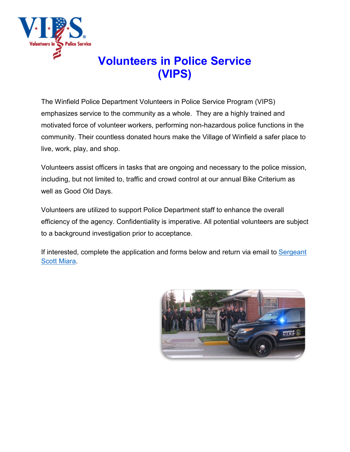

# **Volunteers in Police Service (VIPS)**

The Winfield Police Department Volunteers in Police Service Program (VIPS) emphasizes service to the community as a whole. They are a highly trained and motivated force of volunteer workers, performing non-hazardous police functions in the community. Their countless donated hours make the Village of Winfield a safer place to live, work, play, and shop.

Volunteers assist officers in tasks that are ongoing and necessary to the police mission, including, but not limited to, traffic and crowd control at our annual Bike Criterium as well as Good Old Days.

Volunteers are utilized to support Police Department staff to enhance the overall efficiency of the agency. Confidentiality is imperative. All potential volunteers are subject to a background investigation prior to acceptance.

If interested, complete the application and forms below and return via email to [Sergeant](mailto:smiara@villageofwinfield.com)  [Scott Miara.](mailto:smiara@villageofwinfield.com)

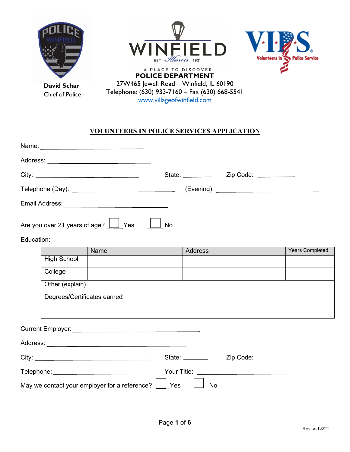

**David Schar** Chief of Police





**POLICE DEPARTMENT** 27W465 Jewell Road – Winfield, IL 60190 Telephone: (630) 933-7160 – Fax (630) 668-5541 [www.villageofwinfield.com](http://www.villageofwinfield.com/)

## **VOLUNTEERS IN POLICE SERVICES APPLICATION**

| Name: <u>_______________________________</u> |                  |                       |
|----------------------------------------------|------------------|-----------------------|
|                                              |                  |                       |
|                                              | State: _________ | Zip Code: ___________ |
|                                              |                  |                       |
| Email Address:                               |                  |                       |
| Are you over 21 years of age? Ves            | No               |                       |

Education:

|                              | Name                                                                                                                                                                                                                          |            | <b>Address</b>  |                                                                                                                                                                                                                                     | Years Completed |
|------------------------------|-------------------------------------------------------------------------------------------------------------------------------------------------------------------------------------------------------------------------------|------------|-----------------|-------------------------------------------------------------------------------------------------------------------------------------------------------------------------------------------------------------------------------------|-----------------|
| <b>High School</b>           |                                                                                                                                                                                                                               |            |                 |                                                                                                                                                                                                                                     |                 |
| College                      |                                                                                                                                                                                                                               |            |                 |                                                                                                                                                                                                                                     |                 |
| Other (explain)              |                                                                                                                                                                                                                               |            |                 |                                                                                                                                                                                                                                     |                 |
| Degrees/Certificates earned: |                                                                                                                                                                                                                               |            |                 |                                                                                                                                                                                                                                     |                 |
|                              |                                                                                                                                                                                                                               |            |                 |                                                                                                                                                                                                                                     |                 |
|                              |                                                                                                                                                                                                                               |            |                 |                                                                                                                                                                                                                                     |                 |
|                              |                                                                                                                                                                                                                               |            |                 |                                                                                                                                                                                                                                     |                 |
|                              |                                                                                                                                                                                                                               |            | State: ________ | Zip Code:                                                                                                                                                                                                                           |                 |
|                              | Telephone: Network and the state of the state of the state of the state of the state of the state of the state of the state of the state of the state of the state of the state of the state of the state of the state of the |            |                 | <b>The Your Title:</b> The Contract of the Contract of the Contract of the Contract of the Contract of the Contract of the Contract of the Contract of the Contract of the Contract of the Contract of the Contract of the Contract |                 |
|                              | May we contact your employer for a reference? $\perp$                                                                                                                                                                         | <b>Yes</b> | No              |                                                                                                                                                                                                                                     |                 |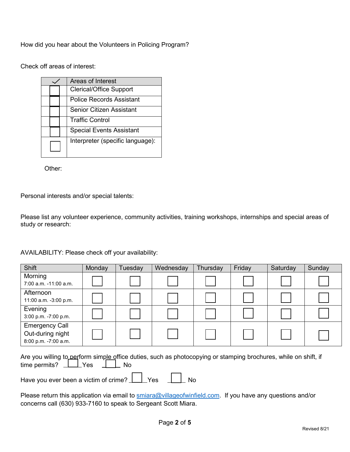How did you hear about the Volunteers in Policing Program?

Check off areas of interest:

|  |  | Areas of Interest                |  |  |
|--|--|----------------------------------|--|--|
|  |  | <b>Clerical/Office Support</b>   |  |  |
|  |  | Police Records Assistant         |  |  |
|  |  | Senior Citizen Assistant         |  |  |
|  |  | <b>Traffic Control</b>           |  |  |
|  |  | <b>Special Events Assistant</b>  |  |  |
|  |  | Interpreter (specific language): |  |  |

Other:

Personal interests and/or special talents:

Please list any volunteer experience, community activities, training workshops, internships and special areas of study or research:

AVAILABILITY: Please check off your availability:

| <b>Shift</b>                                                                                                    | Monday | Tuesday | Wednesday | Thursday | Friday | Saturday | Sunday |
|-----------------------------------------------------------------------------------------------------------------|--------|---------|-----------|----------|--------|----------|--------|
| Morning                                                                                                         |        |         |           |          |        |          |        |
| 7:00 a.m. -11:00 a.m.                                                                                           |        |         |           |          |        |          |        |
| Afternoon                                                                                                       |        |         |           |          |        |          |        |
| 11:00 a.m. -3:00 p.m.                                                                                           |        |         |           |          |        |          |        |
| Evening                                                                                                         |        |         |           |          |        |          |        |
| 3:00 p.m. -7:00 p.m.                                                                                            |        |         |           |          |        |          |        |
| <b>Emergency Call</b>                                                                                           |        |         |           |          |        |          |        |
| Out-during night                                                                                                |        |         |           |          |        |          |        |
| 8:00 p.m. -7:00 a.m.                                                                                            |        |         |           |          |        |          |        |
|                                                                                                                 |        |         |           |          |        |          |        |
| Are you willing to perform simple office duties, such as photocopying or stamping brochures, while on shift, if |        |         |           |          |        |          |        |
| _Yes<br>time permits?<br><b>No</b>                                                                              |        |         |           |          |        |          |        |
|                                                                                                                 |        |         |           |          |        |          |        |
| Have you ever been a victim of crime?<br>Yes<br>No                                                              |        |         |           |          |        |          |        |

Please return this application via email to [smiara@villageofwinfield.com.](mailto:smiara@villageofwinfield.com) If you have any questions and/or concerns call (630) 933-7160 to speak to Sergeant Scott Miara.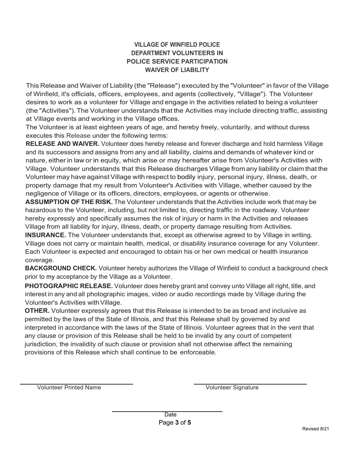### **VILLAGE OF WINFIELD POLICE DEPARTMENT VOLUNTEERS IN POLICE SERVICE PARTICIPATION WAIVER OF LIABILITY**

This Release and Waiver of Liability (the "Release") executed by the "Volunteer" in favor of the Village of Winfield, it's officials, officers, employees, and agents (collectively, "Village"). The Volunteer desires to work as a volunteer for Village and engage in the activities related to being a volunteer (the "Activities").The Volunteer understands that the Activities may include directing traffic, assisting at Village events and working in the Village offices.

The Volunteer is at least eighteen years of age, and hereby freely, voluntarily, and without duress executes this Release under the following terms:

**RELEASE AND WAIVER.** Volunteer does hereby release and forever discharge and hold harmless Village and its successors and assigns from any and all liability, claims and demands of whatever kind or nature, either in law or in equity, which arise or may hereafter arise from Volunteer's Activities with Village. Volunteer understands that this Release discharges Village from any liability or claim that the Volunteer may have against Village with respect to bodily injury, personal injury, illness, death, or property damage that my result from Volunteer's Activities with Village, whether caused by the negligence of Village or its officers, directors, employees, or agents or otherwise.

**ASSUMPTION OFTHE RISK.** The Volunteer understands that the Activities include work that may be hazardous to the Volunteer, including, but not limited to, directing traffic in the roadway. Volunteer hereby expressly and specifically assumes the risk of injury or harm in the Activities and releases Village from all liability for injury, illness, death, or property damage resulting from Activities.

**INSURANCE.** The Volunteer understands that, except as otherwise agreed to by Village in writing. Village does not carry or maintain health, medical, or disability insurance coverage for any Volunteer. Each Volunteer is expected and encouraged to obtain his or her own medical or health insurance coverage.

**BACKGROUND CHECK.** Volunteer hereby authorizes the Village of Winfield to conduct a background check prior to my acceptance by the Village as a Volunteer.

**PHOTOGRAPHIC RELEASE.** Volunteer does hereby grant and convey unto Village all right, title, and interest in any and all photographic images, video or audio recordings made by Village during the Volunteer's Activities with Village.

**OTHER.** Volunteer expressly agrees that this Release is intended to be as broad and inclusive as permitted by the laws of the State of Illinois, and that this Release shall by governed by and interpreted in accordance with the laws of the State of Illinois. Volunteer agrees that in the vent that any clause or provision of this Release shall be held to be invalid by any court of competent jurisdiction, the invalidity of such clause or provision shall not otherwise affect the remaining provisions of this Release which shall continue to be enforceable.

Volunteer Printed Name **Volunteer Signature** Volunteer Signature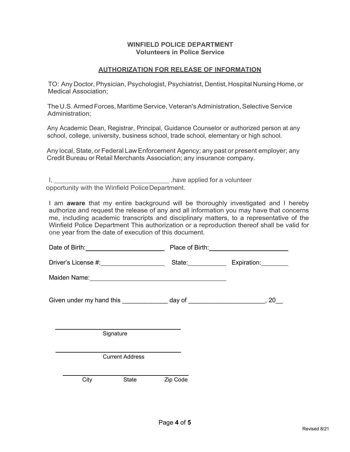#### **WINFIELD POLICE DEPARTMENT Volunteers in Police Service**

#### **AUTHORIZATION FOR RELEASE OF INFORMATION**

TO: Any Doctor, Physician, Psychologist, Psychiatrist, Dentist, Hospital Nursing Home, or Medical Association;

The U.S. Armed Forces, Maritime Service, Veteran's Administration, Selective Service Administration;

Any Academic Dean, Registrar, Principal, Guidance Counselor or authorized person at any school, college, university, business school, trade school, elementary or high school.

Any local, State, or Federal Law Enforcement Agency; any past or present employer; any Credit Bureau or Retail Merchants Association; any insurance company.

I, ,ha.ve applied for <sup>a</sup> volunteer opportunity with the Winfield PoliceDepartment.

I am **aware** that my entire background will be thoroughly investigated and I hereby authorize and request the release of any and all information you may have that concerns me, including academic transcripts and disciplinary matters, to a representative of the Winfield Police Department This authorization or a reproduction thereof shall be valid for one year from the date of execution of this document.

|  |      | Date of Birth: <b>William Street Street Street Street Street Street Street Street Street Street Street Street Street Street Street Street Street Street Street Street Street Street Street Street Street Street Street Street St</b> |                                                                                                                                                                                                                                | Place of Birth: <u>____________________________</u>                             |  |  |
|--|------|--------------------------------------------------------------------------------------------------------------------------------------------------------------------------------------------------------------------------------------|--------------------------------------------------------------------------------------------------------------------------------------------------------------------------------------------------------------------------------|---------------------------------------------------------------------------------|--|--|
|  |      |                                                                                                                                                                                                                                      |                                                                                                                                                                                                                                | State: Expiration:                                                              |  |  |
|  |      |                                                                                                                                                                                                                                      | Maiden Name: Van Management of the Contract of the Contract of the Contract of the Contract of the Contract of the Contract of the Contract of the Contract of the Contract of the Contract of the Contract of the Contract of |                                                                                 |  |  |
|  |      |                                                                                                                                                                                                                                      |                                                                                                                                                                                                                                | Given under my hand this ________________ day of __________________________, 20 |  |  |
|  |      | the control of the control of the control of the control of the control of the control of<br>Signature                                                                                                                               |                                                                                                                                                                                                                                |                                                                                 |  |  |
|  |      | <b>Current Address</b>                                                                                                                                                                                                               |                                                                                                                                                                                                                                |                                                                                 |  |  |
|  | City | State                                                                                                                                                                                                                                | Zip Code                                                                                                                                                                                                                       |                                                                                 |  |  |